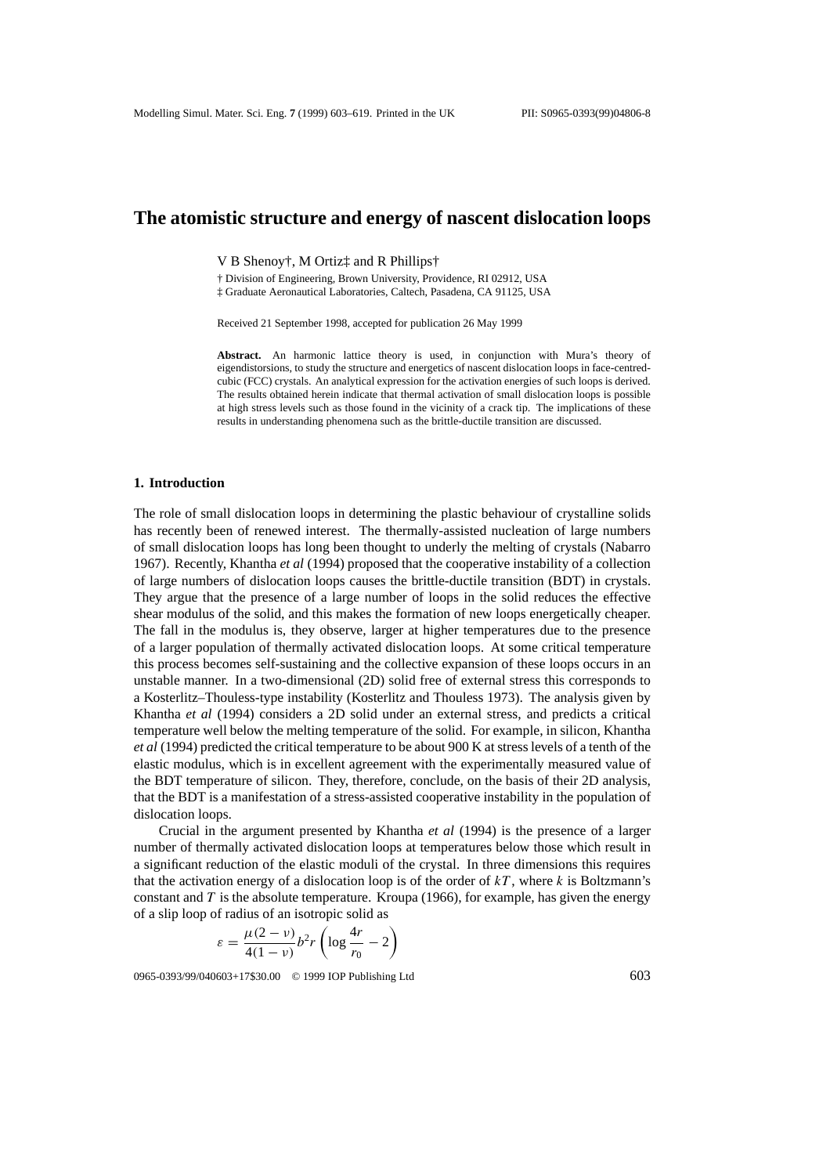# **The atomistic structure and energy of nascent dislocation loops**

V B Shenoy†, M Ortiz‡ and R Phillips†

† Division of Engineering, Brown University, Providence, RI 02912, USA

‡ Graduate Aeronautical Laboratories, Caltech, Pasadena, CA 91125, USA

Received 21 September 1998, accepted for publication 26 May 1999

**Abstract.** An harmonic lattice theory is used, in conjunction with Mura's theory of eigendistorsions, to study the structure and energetics of nascent dislocation loops in face-centredcubic (FCC) crystals. An analytical expression for the activation energies of such loops is derived. The results obtained herein indicate that thermal activation of small dislocation loops is possible at high stress levels such as those found in the vicinity of a crack tip. The implications of these results in understanding phenomena such as the brittle-ductile transition are discussed.

#### **1. Introduction**

The role of small dislocation loops in determining the plastic behaviour of crystalline solids has recently been of renewed interest. The thermally-assisted nucleation of large numbers of small dislocation loops has long been thought to underly the melting of crystals (Nabarro 1967). Recently, Khantha *et al* (1994) proposed that the cooperative instability of a collection of large numbers of dislocation loops causes the brittle-ductile transition (BDT) in crystals. They argue that the presence of a large number of loops in the solid reduces the effective shear modulus of the solid, and this makes the formation of new loops energetically cheaper. The fall in the modulus is, they observe, larger at higher temperatures due to the presence of a larger population of thermally activated dislocation loops. At some critical temperature this process becomes self-sustaining and the collective expansion of these loops occurs in an unstable manner. In a two-dimensional (2D) solid free of external stress this corresponds to a Kosterlitz–Thouless-type instability (Kosterlitz and Thouless 1973). The analysis given by Khantha *et al* (1994) considers a 2D solid under an external stress, and predicts a critical temperature well below the melting temperature of the solid. For example, in silicon, Khantha *et al* (1994) predicted the critical temperature to be about 900 K at stress levels of a tenth of the elastic modulus, which is in excellent agreement with the experimentally measured value of the BDT temperature of silicon. They, therefore, conclude, on the basis of their 2D analysis, that the BDT is a manifestation of a stress-assisted cooperative instability in the population of dislocation loops.

Crucial in the argument presented by Khantha *et al* (1994) is the presence of a larger number of thermally activated dislocation loops at temperatures below those which result in a significant reduction of the elastic moduli of the crystal. In three dimensions this requires that the activation energy of a dislocation loop is of the order of  $kT$ , where  $k$  is Boltzmann's constant and *T* is the absolute temperature. Kroupa (1966), for example, has given the energy of a slip loop of radius of an isotropic solid as

$$
\varepsilon = \frac{\mu(2-\nu)}{4(1-\nu)}b^2r\left(\log\frac{4r}{r_0}-2\right)
$$

0965-0393/99/040603+17\$30.00 © 1999 IOP Publishing Ltd 603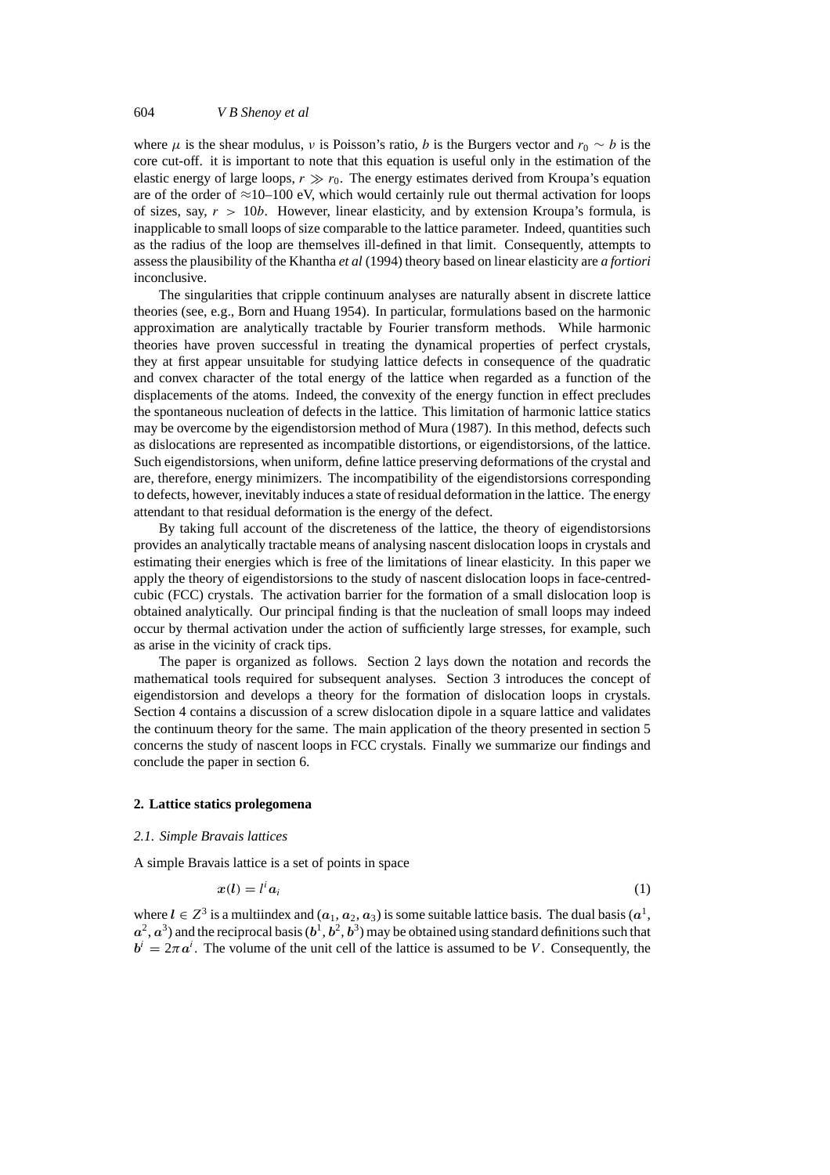where  $\mu$  is the shear modulus, *v* is Poisson's ratio, *b* is the Burgers vector and  $r_0 \sim b$  is the core cut-off. it is important to note that this equation is useful only in the estimation of the elastic energy of large loops,  $r \gg r_0$ . The energy estimates derived from Kroupa's equation are of the order of  $\approx$ 10–100 eV, which would certainly rule out thermal activation for loops of sizes, say,  $r > 10b$ . However, linear elasticity, and by extension Kroupa's formula, is inapplicable to small loops of size comparable to the lattice parameter. Indeed, quantities such as the radius of the loop are themselves ill-defined in that limit. Consequently, attempts to assess the plausibility of the Khantha *et al* (1994) theory based on linear elasticity are *a fortiori* inconclusive.

The singularities that cripple continuum analyses are naturally absent in discrete lattice theories (see, e.g., Born and Huang 1954). In particular, formulations based on the harmonic approximation are analytically tractable by Fourier transform methods. While harmonic theories have proven successful in treating the dynamical properties of perfect crystals, they at first appear unsuitable for studying lattice defects in consequence of the quadratic and convex character of the total energy of the lattice when regarded as a function of the displacements of the atoms. Indeed, the convexity of the energy function in effect precludes the spontaneous nucleation of defects in the lattice. This limitation of harmonic lattice statics may be overcome by the eigendistorsion method of Mura (1987). In this method, defects such as dislocations are represented as incompatible distortions, or eigendistorsions, of the lattice. Such eigendistorsions, when uniform, define lattice preserving deformations of the crystal and are, therefore, energy minimizers. The incompatibility of the eigendistorsions corresponding to defects, however, inevitably induces a state of residual deformation in the lattice. The energy attendant to that residual deformation is the energy of the defect.

By taking full account of the discreteness of the lattice, the theory of eigendistorsions provides an analytically tractable means of analysing nascent dislocation loops in crystals and estimating their energies which is free of the limitations of linear elasticity. In this paper we apply the theory of eigendistorsions to the study of nascent dislocation loops in face-centredcubic (FCC) crystals. The activation barrier for the formation of a small dislocation loop is obtained analytically. Our principal finding is that the nucleation of small loops may indeed occur by thermal activation under the action of sufficiently large stresses, for example, such as arise in the vicinity of crack tips.

The paper is organized as follows. Section 2 lays down the notation and records the mathematical tools required for subsequent analyses. Section 3 introduces the concept of eigendistorsion and develops a theory for the formation of dislocation loops in crystals. Section 4 contains a discussion of a screw dislocation dipole in a square lattice and validates the continuum theory for the same. The main application of the theory presented in section 5 concerns the study of nascent loops in FCC crystals. Finally we summarize our findings and conclude the paper in section 6.

#### **2. Lattice statics prolegomena**

### *2.1. Simple Bravais lattices*

A simple Bravais lattice is a set of points in space

$$
x(l) = l^i a_i \tag{1}
$$

where  $l \in \mathbb{Z}^3$  is a multiindex and  $(a_1, a_2, a_3)$  is some suitable lattice basis. The dual basis  $(a^1, a^2, a^3)$  $a^2$ ,  $a^3$ ) and the reciprocal basis  $(b^1, b^2, b^3)$  may be obtained using standard definitions such that  $b^i = 2\pi a^i$ . The volume of the unit cell of the lattice is assumed to be *V*. Consequently, the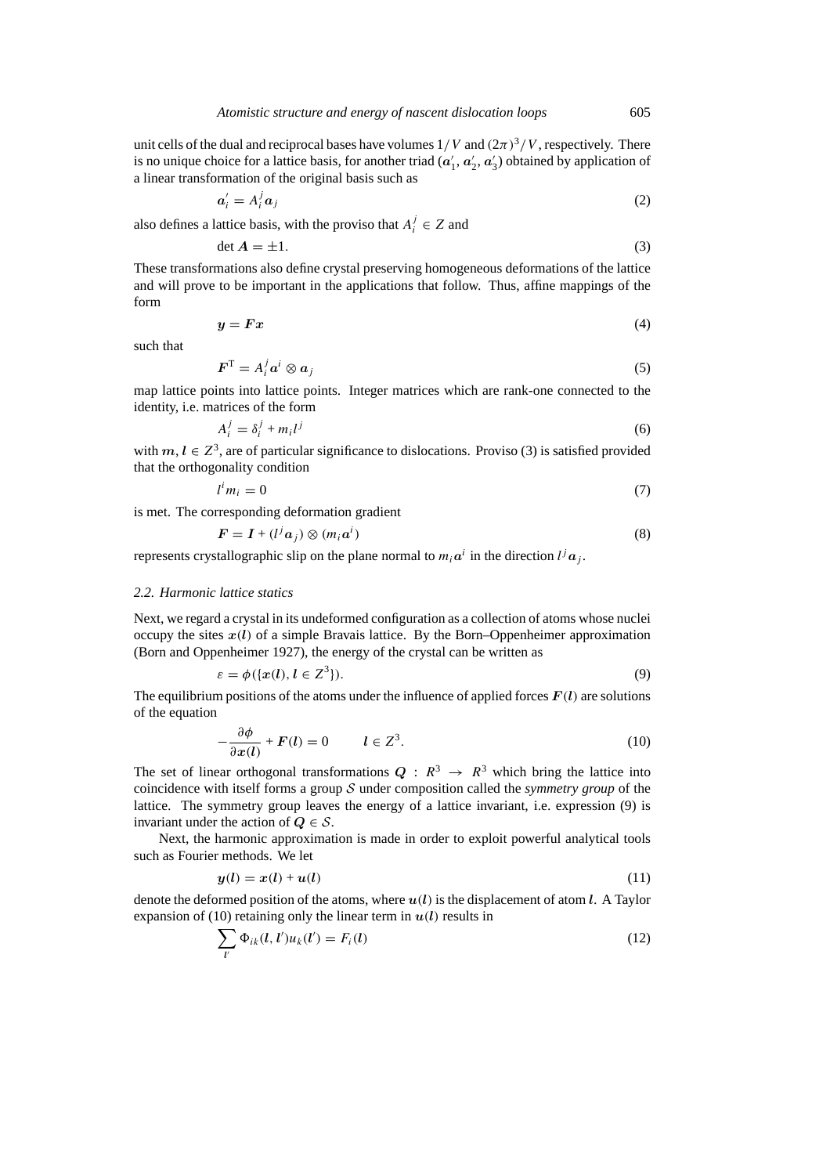unit cells of the dual and reciprocal bases have volumes  $1/V$  and  $(2\pi)^3/V$ , respectively. There is no unique choice for a lattice basis, for another triad  $(a'_1, a'_2, a'_3)$  obtained by application of a linear transformation of the original basis such as

$$
a_i' = A_i^j a_j \tag{2}
$$

also defines a lattice basis, with the proviso that  $A_i^j \in Z$  and

$$
\det A = \pm 1. \tag{3}
$$

These transformations also define crystal preserving homogeneous deformations of the lattice and will prove to be important in the applications that follow. Thus, affine mappings of the form

$$
y = Fx \tag{4}
$$

such that

$$
\boldsymbol{F}^{\mathrm{T}} = A_i^j \boldsymbol{a}^i \otimes \boldsymbol{a}_j \tag{5}
$$

map lattice points into lattice points. Integer matrices which are rank-one connected to the identity, i.e. matrices of the form

$$
A_i^j = \delta_i^j + m_i l^j \tag{6}
$$

with  $m, l \in \mathbb{Z}^3$ , are of particular significance to dislocations. Proviso (3) is satisfied provided that the orthogonality condition

$$
l^i m_i = 0 \tag{7}
$$

is met. The corresponding deformation gradient

$$
\boldsymbol{F} = \boldsymbol{I} + (l^j \boldsymbol{a}_j) \otimes (m_i \boldsymbol{a}^i) \tag{8}
$$

represents crystallographic slip on the plane normal to  $m_i a^i$  in the direction  $l^j a_j$ .

### *2.2. Harmonic lattice statics*

Next, we regard a crystal in its undeformed configuration as a collection of atoms whose nuclei occupy the sites  $x(l)$  of a simple Bravais lattice. By the Born–Oppenheimer approximation (Born and Oppenheimer 1927), the energy of the crystal can be written as

$$
\varepsilon = \phi(\{x(l), l \in \mathbb{Z}^3\}).\tag{9}
$$

The equilibrium positions of the atoms under the influence of applied forces  $F(t)$  are solutions of the equation

$$
-\frac{\partial \phi}{\partial x(l)} + F(l) = 0 \qquad l \in \mathbb{Z}^3. \tag{10}
$$

The set of linear orthogonal transformations  $Q : R^3 \rightarrow R^3$  which bring the lattice into coincidence with itself forms a group S under composition called the *symmetry group* of the lattice. The symmetry group leaves the energy of a lattice invariant, i.e. expression (9) is invariant under the action of  $Q \in S$ .

Next, the harmonic approximation is made in order to exploit powerful analytical tools such as Fourier methods. We let

$$
y(l) = x(l) + u(l) \tag{11}
$$

denote the deformed position of the atoms, where *u(l)* is the displacement of atom *l*. A Taylor expansion of (10) retaining only the linear term in  $u(l)$  results in<br>  $\sum \phi_{l}(l-l')u_{l}(l') = E(l)$ 

$$
\sum_{l'} \Phi_{ik}(l, l') u_k(l') = F_i(l) \tag{12}
$$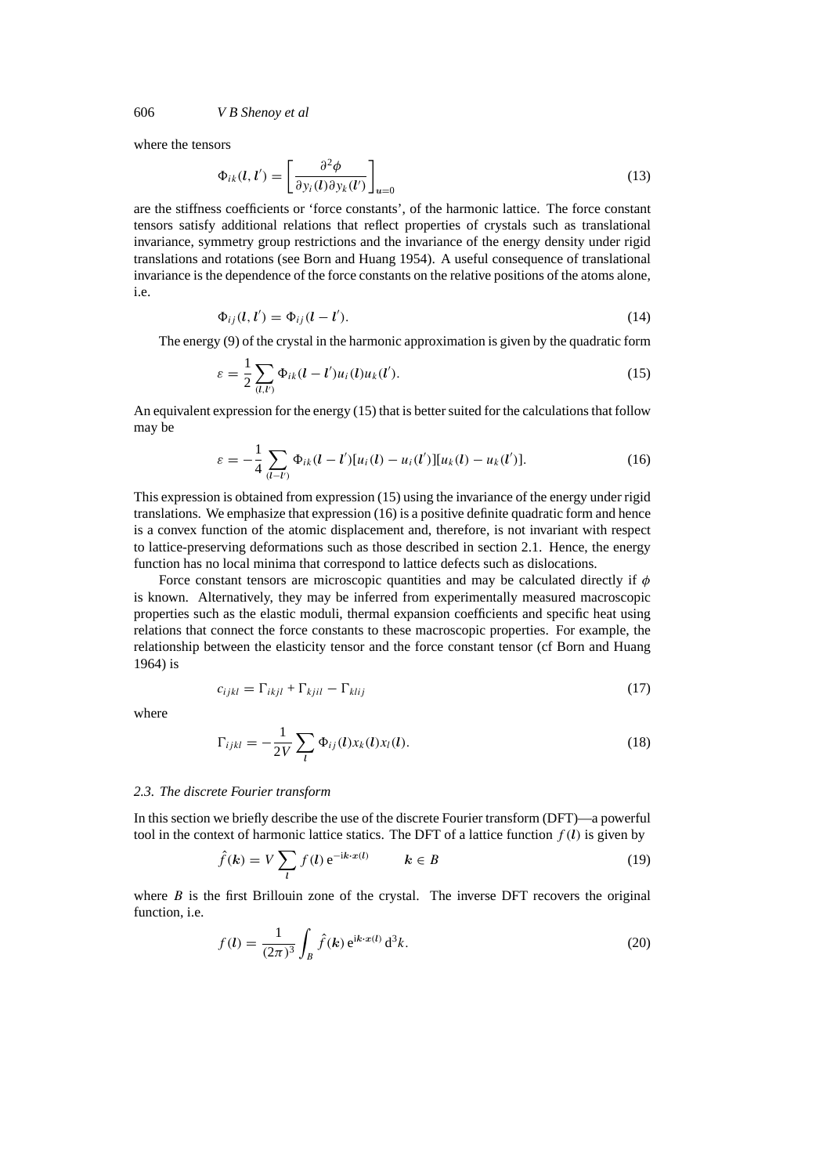where the tensors

$$
\Phi_{ik}(l, l') = \left[\frac{\partial^2 \phi}{\partial y_i(l) \partial y_k(l')}\right]_{u=0} \tag{13}
$$

are the stiffness coefficients or 'force constants', of the harmonic lattice. The force constant tensors satisfy additional relations that reflect properties of crystals such as translational invariance, symmetry group restrictions and the invariance of the energy density under rigid translations and rotations (see Born and Huang 1954). A useful consequence of translational invariance is the dependence of the force constants on the relative positions of the atoms alone, i.e.

$$
\Phi_{ij}(l, l') = \Phi_{ij}(l - l'). \tag{14}
$$

The energy (9) of the crystal in the harmonic approximation is given by the quadratic form

$$
\varepsilon = \frac{1}{2} \sum_{(l,l')} \Phi_{ik}(l-l')u_i(l)u_k(l'). \tag{15}
$$

An equivalent expression for the energy (15) that is better suited for the calculations that follow may be

$$
\varepsilon = -\frac{1}{4} \sum_{(l-l')} \Phi_{ik}(l-l')[u_i(l) - u_i(l')] [u_k(l) - u_k(l')]. \tag{16}
$$

This expression is obtained from expression (15) using the invariance of the energy under rigid translations. We emphasize that expression (16) is a positive definite quadratic form and hence is a convex function of the atomic displacement and, therefore, is not invariant with respect to lattice-preserving deformations such as those described in section 2.1. Hence, the energy function has no local minima that correspond to lattice defects such as dislocations.

Force constant tensors are microscopic quantities and may be calculated directly if *φ* is known. Alternatively, they may be inferred from experimentally measured macroscopic properties such as the elastic moduli, thermal expansion coefficients and specific heat using relations that connect the force constants to these macroscopic properties. For example, the relationship between the elasticity tensor and the force constant tensor (cf Born and Huang 1964) is

$$
c_{ijkl} = \Gamma_{ikjl} + \Gamma_{kjil} - \Gamma_{klij} \tag{17}
$$

where

$$
\Gamma_{ijkl} = -\frac{1}{2V} \sum_{l} \Phi_{ij}(l) x_k(l) x_l(l). \tag{18}
$$

#### *2.3. The discrete Fourier transform*

In this section we briefly describe the use of the discrete Fourier transform (DFT)—a powerful tool in the context of harmonic lattice statics. The DFT of a lattice function  $f(l)$  is given by

$$
\hat{f}(\mathbf{k}) = V \sum_{l} f(l) e^{-i\mathbf{k} \cdot \mathbf{x}(l)} \qquad \mathbf{k} \in B
$$
\n(19)

where *B* is the first Brillouin zone of the crystal. The inverse DFT recovers the original function, i.e.

$$
f(l) = \frac{1}{(2\pi)^3} \int_B \hat{f}(\mathbf{k}) e^{i\mathbf{k} \cdot \mathbf{x}(l)} d^3 \mathbf{k}.
$$
 (20)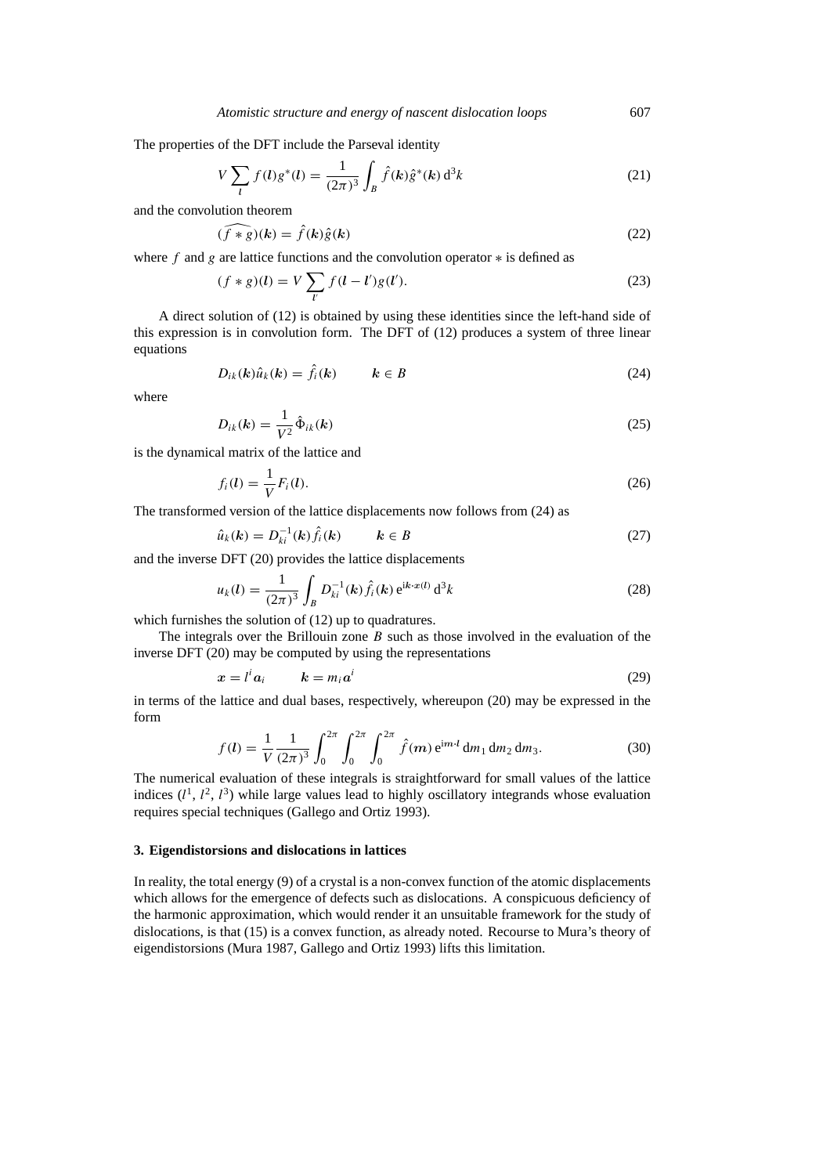The properties of the DFT include the Parseval identity

$$
V\sum_{l} f(l)g^*(l) = \frac{1}{(2\pi)^3} \int_{B} \hat{f}(\mathbf{k})\hat{g}^*(\mathbf{k}) d^3k
$$
 (21)

and the convolution theorem

$$
(\widehat{f \ast g})(k) = \widehat{f}(k)\widehat{g}(k)
$$
\n(22)

where *f* and *g* are lattice functions and the convolution operator ∗ is defined as

$$
(f * g)(l) = V \sum_{l'} f(l - l')g(l').
$$
\n(23)

A direct solution of (12) is obtained by using these identities since the left-hand side of this expression is in convolution form. The DFT of (12) produces a system of three linear equations

$$
D_{ik}(k)\hat{u}_k(k) = \hat{f}_i(k) \qquad k \in B \tag{24}
$$

where

$$
D_{ik}(k) = \frac{1}{V^2} \hat{\Phi}_{ik}(k)
$$
\n(25)

is the dynamical matrix of the lattice and

$$
f_i(l) = \frac{1}{V} F_i(l). \tag{26}
$$

The transformed version of the lattice displacements now follows from (24) as

$$
\hat{u}_k(\mathbf{k}) = D_{ki}^{-1}(\mathbf{k}) \hat{f}_i(\mathbf{k}) \qquad \mathbf{k} \in B \tag{27}
$$

and the inverse DFT (20) provides the lattice displacements

$$
u_k(l) = \frac{1}{(2\pi)^3} \int_B D_{ki}^{-1}(k) \hat{f}_i(k) e^{ik \cdot x(l)} d^3k
$$
 (28)

which furnishes the solution of (12) up to quadratures.

The integrals over the Brillouin zone *B* such as those involved in the evaluation of the inverse DFT (20) may be computed by using the representations

$$
x = l^i a_i \qquad k = m_i a^i \tag{29}
$$

in terms of the lattice and dual bases, respectively, whereupon (20) may be expressed in the form

$$
f(l) = \frac{1}{V} \frac{1}{(2\pi)^3} \int_0^{2\pi} \int_0^{2\pi} \int_0^{2\pi} \hat{f}(m) e^{im \cdot l} dm_1 dm_2 dm_3.
$$
 (30)

The numerical evaluation of these integrals is straightforward for small values of the lattice indices  $(l^1, l^2, l^3)$  while large values lead to highly oscillatory integrands whose evaluation requires special techniques (Gallego and Ortiz 1993).

## **3. Eigendistorsions and dislocations in lattices**

In reality, the total energy (9) of a crystal is a non-convex function of the atomic displacements which allows for the emergence of defects such as dislocations. A conspicuous deficiency of the harmonic approximation, which would render it an unsuitable framework for the study of dislocations, is that (15) is a convex function, as already noted. Recourse to Mura's theory of eigendistorsions (Mura 1987, Gallego and Ortiz 1993) lifts this limitation.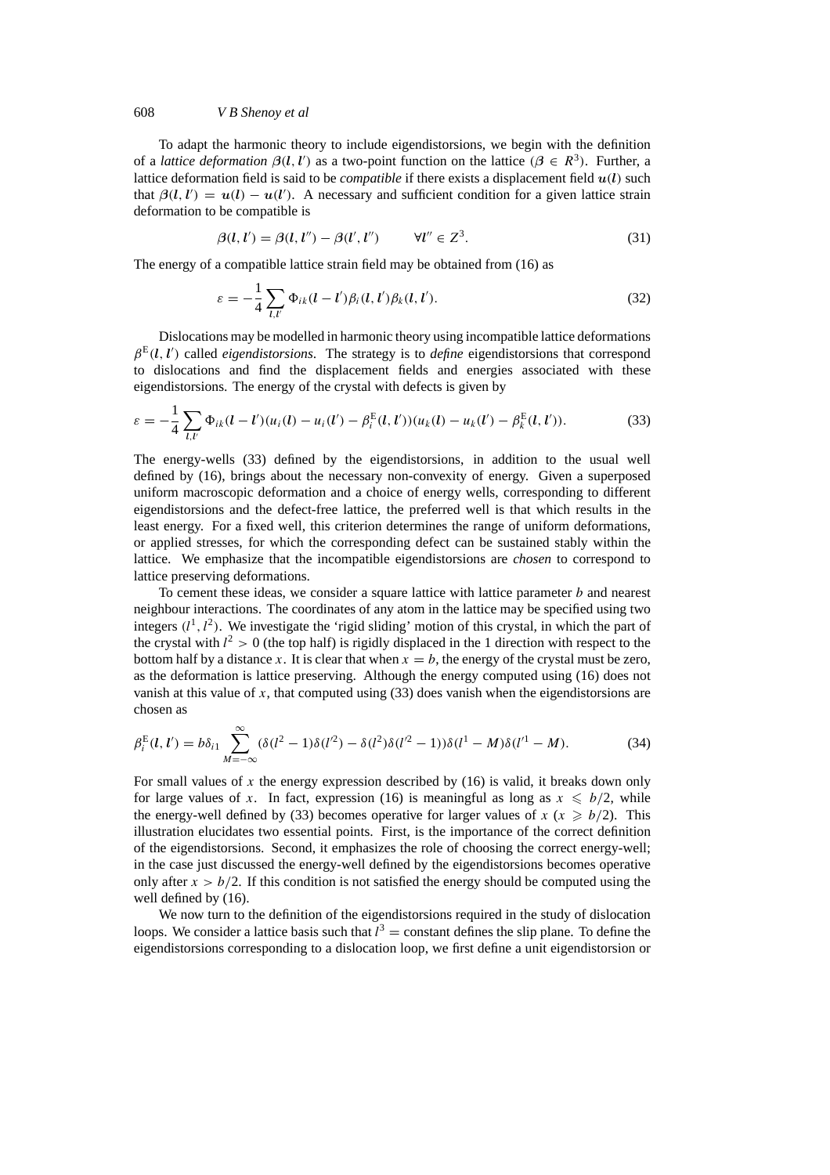To adapt the harmonic theory to include eigendistorsions, we begin with the definition of a *lattice deformation*  $\beta(l, l')$  as a two-point function on the lattice  $(\beta \in R^3)$ . Further, a lattice deformation field is said to be *compatible* if there exists a displacement field  $u(l)$  such that  $\beta(l, l') = u(l) - u(l')$ . A necessary and sufficient condition for a given lattice strain deformation to be compatible is

$$
\beta(l, l') = \beta(l, l'') - \beta(l', l'') \qquad \forall l'' \in \mathbb{Z}^3. \tag{31}
$$

The energy of a compatible lattice strain field may be obtained from (16) as

$$
\varepsilon = -\frac{1}{4} \sum_{l,l'} \Phi_{ik}(l-l')\beta_i(l,l')\beta_k(l,l'). \tag{32}
$$

Dislocations may be modelled in harmonic theory using incompatible lattice deformations  $\beta^{E}(l, l')$  called *eigendistorsions*. The strategy is to *define* eigendistorsions that correspond to dislocations and find the displacement fields and energies associated with these eigendistorsions. The energy of the crystal with defects is given by

$$
\varepsilon = -\frac{1}{4} \sum_{l,l'} \Phi_{ik}(l-l')(u_i(l) - u_i(l') - \beta_i^{E}(l,l'))(u_k(l) - u_k(l') - \beta_k^{E}(l,l')).
$$
 (33)

The energy-wells (33) defined by the eigendistorsions, in addition to the usual well defined by (16), brings about the necessary non-convexity of energy. Given a superposed uniform macroscopic deformation and a choice of energy wells, corresponding to different eigendistorsions and the defect-free lattice, the preferred well is that which results in the least energy. For a fixed well, this criterion determines the range of uniform deformations, or applied stresses, for which the corresponding defect can be sustained stably within the lattice. We emphasize that the incompatible eigendistorsions are *chosen* to correspond to lattice preserving deformations.

To cement these ideas, we consider a square lattice with lattice parameter *b* and nearest neighbour interactions. The coordinates of any atom in the lattice may be specified using two integers  $(l^1, l^2)$ . We investigate the 'rigid sliding' motion of this crystal, in which the part of the crystal with  $l^2 > 0$  (the top half) is rigidly displaced in the 1 direction with respect to the bottom half by a distance *x*. It is clear that when  $x = b$ , the energy of the crystal must be zero, as the deformation is lattice preserving. Although the energy computed using (16) does not vanish at this value of *x*, that computed using (33) does vanish when the eigendistorsions are chosen as

$$
\beta_i^{E}(l, l') = b\delta_{i1} \sum_{M=-\infty}^{\infty} (\delta(l^2 - 1)\delta(l'^2) - \delta(l^2)\delta(l'^2 - 1))\delta(l^1 - M)\delta(l'^1 - M). \tag{34}
$$

For small values of x the energy expression described by (16) is valid, it breaks down only for large values of *x*. In fact, expression (16) is meaningful as long as  $x \le b/2$ , while the energy-well defined by (33) becomes operative for larger values of  $x$  ( $x \ge b/2$ ). This illustration elucidates two essential points. First, is the importance of the correct definition of the eigendistorsions. Second, it emphasizes the role of choosing the correct energy-well; in the case just discussed the energy-well defined by the eigendistorsions becomes operative only after  $x > b/2$ . If this condition is not satisfied the energy should be computed using the well defined by (16).

We now turn to the definition of the eigendistorsions required in the study of dislocation loops. We consider a lattice basis such that  $l^3$  = constant defines the slip plane. To define the eigendistorsions corresponding to a dislocation loop, we first define a unit eigendistorsion or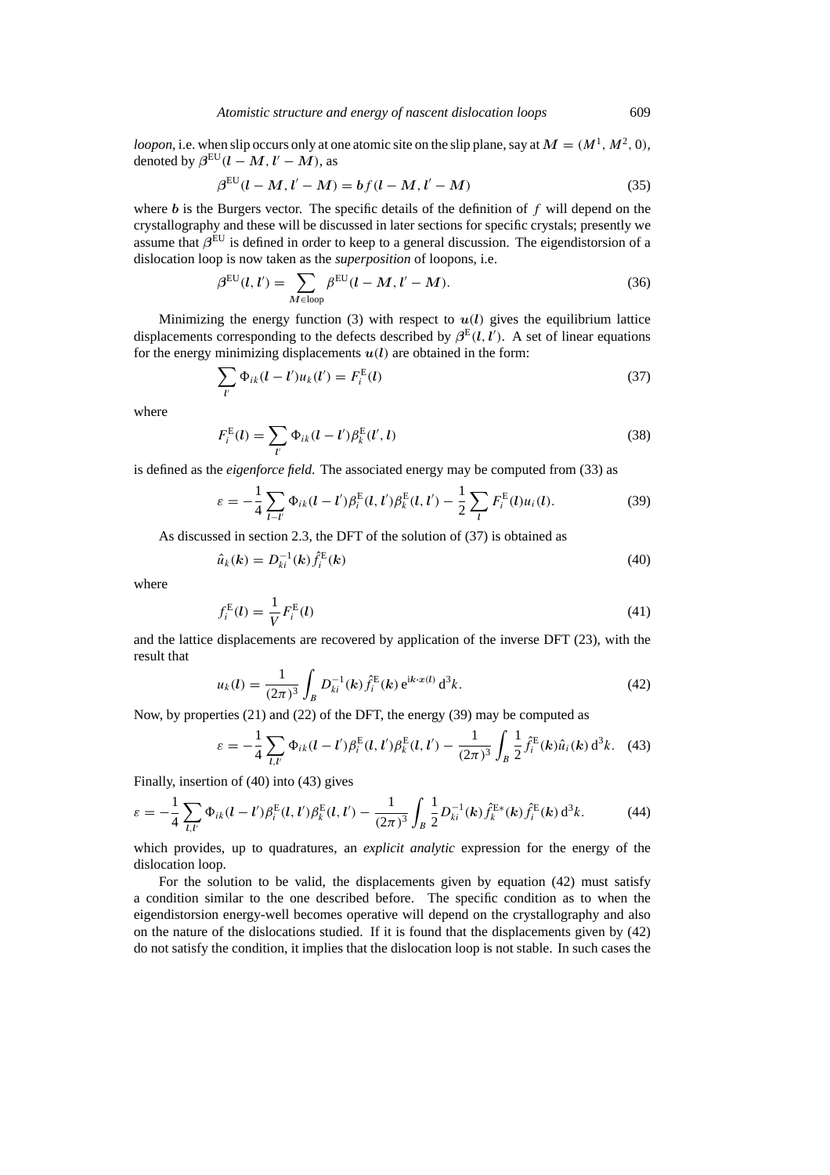*loopon*, i.e. when slip occurs only at one atomic site on the slip plane, say at  $M = (M^1, M^2, 0)$ , denoted by  $\beta^{\text{EU}}(l - M, l' - M)$ , as

$$
\beta^{\text{EU}}(l - M, l' - M) = b f(l - M, l' - M)
$$
\n(35)

where *b* is the Burgers vector. The specific details of the definition of *f* will depend on the crystallography and these will be discussed in later sections for specific crystals; presently we assume that  $β^{\text{EU}}$  is defined in order to keep to a general discussion. The eigendistorsion of a dislocation loop is now taken as the *superposition* of loopons, i.e.

$$
\beta^{\text{EU}}(l, l') = \sum_{M \in \text{loop}} \beta^{\text{EU}}(l - M, l' - M). \tag{36}
$$

Minimizing the energy function (3) with respect to  $u(l)$  gives the equilibrium lattice displacements corresponding to the defects described by  $\beta^{E}(l, l')$ . A set of linear equations for the energy minimizing displacements  $u(l)$  are obtained in the form:

$$
\sum_{l'} \Phi_{ik}(l-l')u_k(l') = F_i^{E}(l)
$$
\n(37)

where

$$
F_i^{\mathcal{E}}(l) = \sum_{l'} \Phi_{ik}(l-l')\beta_k^{\mathcal{E}}(l',l)
$$
\n(38)

is defined as the *eigenforce field*. The associated energy may be computed from (33) as

$$
\varepsilon = -\frac{1}{4} \sum_{l-l'} \Phi_{ik}(l-l') \beta_i^{E}(l,l') \beta_k^{E}(l,l') - \frac{1}{2} \sum_{l} F_i^{E}(l) u_i(l). \tag{39}
$$

As discussed in section 2.3, the DFT of the solution of (37) is obtained as

$$
\hat{u}_k(k) = D_{ki}^{-1}(k)\hat{f}_i^{\text{E}}(k)
$$
\n(40)

where

$$
f_i^{E}(l) = \frac{1}{V} F_i^{E}(l)
$$
\n(41)

and the lattice displacements are recovered by application of the inverse DFT (23), with the result that

$$
u_k(l) = \frac{1}{(2\pi)^3} \int_B D_{ki}^{-1}(k) \hat{f}_i^{\text{E}}(k) e^{ik \cdot x(l)} d^3k.
$$
 (42)

Now, by properties (21) and (22) of the DFT, the energy (39) may be computed as

$$
\varepsilon = -\frac{1}{4} \sum_{l,l'} \Phi_{ik}(l-l') \beta_i^{E}(l,l') \beta_k^{E}(l,l') - \frac{1}{(2\pi)^3} \int_B \frac{1}{2} \hat{f}_i^{E}(k) \hat{u}_i(k) d^3k. \tag{43}
$$

Finally, insertion of (40) into (43) gives

$$
\varepsilon = -\frac{1}{4} \sum_{l,l'} \Phi_{ik} (l - l') \beta_i^{E} (l, l') \beta_k^{E} (l, l') - \frac{1}{(2\pi)^3} \int_B \frac{1}{2} D_{ki}^{-1}(k) \hat{f}_k^{E*}(k) \hat{f}_i^{E}(k) d^3k.
$$
 (44)

which provides, up to quadratures, an *explicit analytic* expression for the energy of the dislocation loop.

For the solution to be valid, the displacements given by equation (42) must satisfy a condition similar to the one described before. The specific condition as to when the eigendistorsion energy-well becomes operative will depend on the crystallography and also on the nature of the dislocations studied. If it is found that the displacements given by (42) do not satisfy the condition, it implies that the dislocation loop is not stable. In such cases the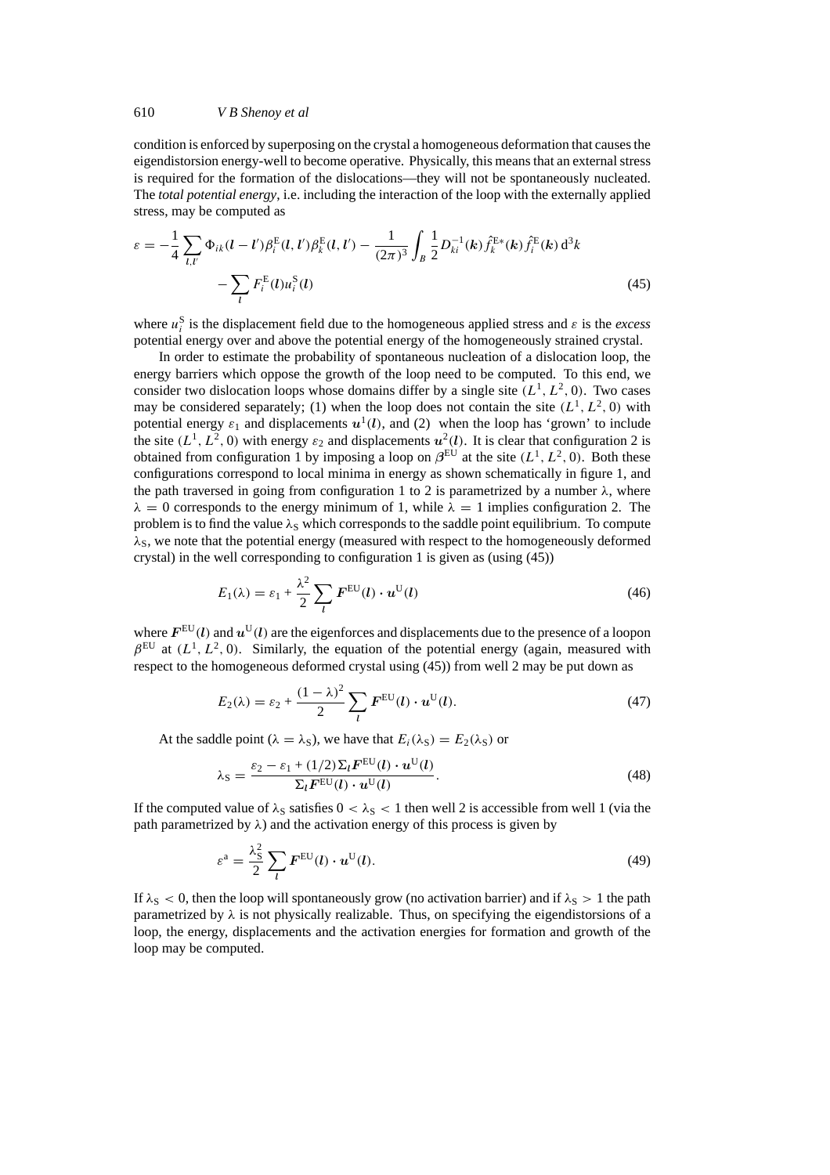condition is enforced by superposing on the crystal a homogeneous deformation that causes the eigendistorsion energy-well to become operative. Physically, this means that an external stress is required for the formation of the dislocations—they will not be spontaneously nucleated. The *total potential energy*, i.e. including the interaction of the loop with the externally applied stress, may be computed as

$$
\varepsilon = -\frac{1}{4} \sum_{l,l'} \Phi_{ik} (l - l') \beta_i^{E} (l, l') \beta_k^{E} (l, l') - \frac{1}{(2\pi)^3} \int_B \frac{1}{2} D_{ki}^{-1}(k) \hat{f}_k^{E*}(k) \hat{f}_i^{E}(k) d^3k - \sum_l F_i^{E}(l) u_i^{S}(l)
$$
\n(45)

where  $u_i^S$  is the displacement field due to the homogeneous applied stress and  $\varepsilon$  is the *excess* potential energy over and above the potential energy of the homogeneously strained crystal.

In order to estimate the probability of spontaneous nucleation of a dislocation loop, the energy barriers which oppose the growth of the loop need to be computed. To this end, we consider two dislocation loops whose domains differ by a single site  $(L^1, L^2, 0)$ . Two cases may be considered separately; (1) when the loop does not contain the site  $(L^1, L^2, 0)$  with potential energy  $\varepsilon_1$  and displacements  $u^1(l)$ , and (2) when the loop has 'grown' to include the site  $(L^1, L^2, 0)$  with energy  $\varepsilon_2$  and displacements  $u^2(l)$ . It is clear that configuration 2 is obtained from configuration 1 by imposing a loop on  $\beta^{\text{EU}}$  at the site  $(L^1, L^2, 0)$ . Both these configurations correspond to local minima in energy as shown schematically in figure 1, and the path traversed in going from configuration 1 to 2 is parametrized by a number *λ*, where  $\lambda = 0$  corresponds to the energy minimum of 1, while  $\lambda = 1$  implies configuration 2. The problem is to find the value λ<sub>S</sub> which corresponds to the saddle point equilibrium. To compute  $\lambda$ <sub>S</sub>, we note that the potential energy (measured with respect to the homogeneously deformed crystal) in the well corresponding to configuration 1 is given as (using (45))

$$
E_1(\lambda) = \varepsilon_1 + \frac{\lambda^2}{2} \sum_{l} \boldsymbol{F}^{\text{EU}}(l) \cdot \boldsymbol{u}^{\text{U}}(l) \tag{46}
$$

where  $F^{\text{EU}}(l)$  and  $u^{\text{U}}(l)$  are the eigenforces and displacements due to the presence of a loopon  $\beta^{\text{EU}}$  at  $(L^1, L^2, 0)$ . Similarly, the equation of the potential energy (again, measured with respect to the homogeneous deformed crystal using (45)) from well 2 may be put down as

$$
E_2(\lambda) = \varepsilon_2 + \frac{(1-\lambda)^2}{2} \sum_l F^{\text{EU}}(l) \cdot \boldsymbol{u}^{\text{U}}(l). \tag{47}
$$

At the saddle point ( $\lambda = \lambda_s$ ), we have that  $E_i(\lambda_s) = E_2(\lambda_s)$  or

$$
\lambda_{\rm S} = \frac{\varepsilon_2 - \varepsilon_1 + (1/2)\Sigma_l \mathbf{F}^{\rm EU}(l) \cdot \mathbf{u}^{\rm U}(l)}{\Sigma_l \mathbf{F}^{\rm EU}(l) \cdot \mathbf{u}^{\rm U}(l)}.
$$
(48)

If the computed value of  $\lambda_S$  satisfies  $0 < \lambda_S < 1$  then well 2 is accessible from well 1 (via the path parametrized by  $\lambda$ ) and the activation energy of this process is given by

$$
\varepsilon^{\mathbf{a}} = \frac{\lambda_{\mathbf{S}}^2}{2} \sum_{l} \boldsymbol{F}^{\mathrm{EU}}(l) \cdot \boldsymbol{u}^{\mathrm{U}}(l). \tag{49}
$$

If  $\lambda_{\rm S}$  < 0, then the loop will spontaneously grow (no activation barrier) and if  $\lambda_{\rm S}$  > 1 the path parametrized by  $\lambda$  is not physically realizable. Thus, on specifying the eigendistorsions of a loop, the energy, displacements and the activation energies for formation and growth of the loop may be computed.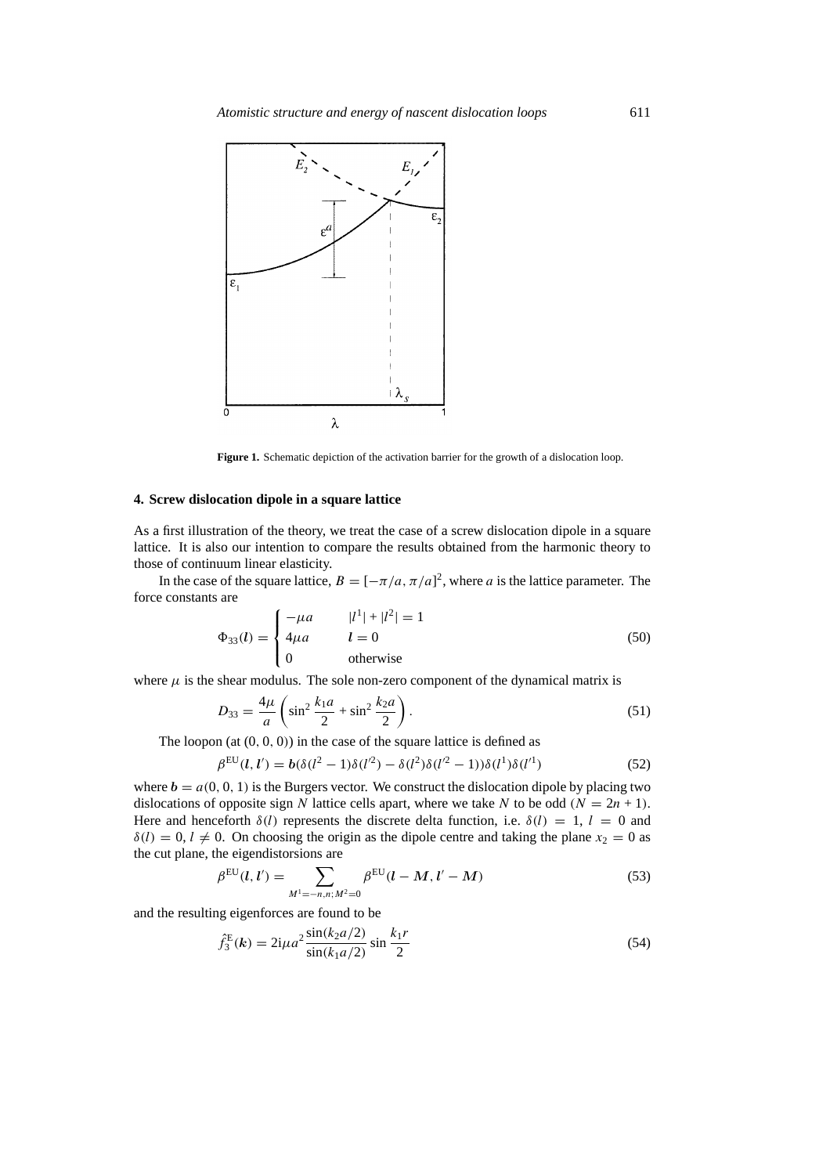

**Figure 1.** Schematic depiction of the activation barrier for the growth of a dislocation loop.

### **4. Screw dislocation dipole in a square lattice**

As a first illustration of the theory, we treat the case of a screw dislocation dipole in a square lattice. It is also our intention to compare the results obtained from the harmonic theory to those of continuum linear elasticity.

In the case of the square lattice,  $B = [-\pi/a, \pi/a]^2$ , where *a* is the lattice parameter. The force constants are

$$
\Phi_{33}(l) = \begin{cases}\n-\mu a & |l^1| + |l^2| = 1 \\
4\mu a & l = 0 \\
0 & \text{otherwise}\n\end{cases} \tag{50}
$$

where  $\mu$  is the shear modulus. The sole non-zero component of the dynamical matrix is

$$
D_{33} = \frac{4\mu}{a} \left( \sin^2 \frac{k_1 a}{2} + \sin^2 \frac{k_2 a}{2} \right).
$$
 (51)

The loopon  $(at (0, 0, 0))$  in the case of the square lattice is defined as

$$
\beta^{\text{EU}}(l, l') = b(\delta(l^2 - 1)\delta(l'^2) - \delta(l^2)\delta(l'^2 - 1))\delta(l^1)\delta(l'^1)
$$
\n(52)

where  $b = a(0, 0, 1)$  is the Burgers vector. We construct the dislocation dipole by placing two dislocations of opposite sign *N* lattice cells apart, where we take *N* to be odd  $(N = 2n + 1)$ . Here and henceforth  $\delta(l)$  represents the discrete delta function, i.e.  $\delta(l) = 1$ ,  $l = 0$  and  $\delta(l) = 0, l \neq 0$ . On choosing the origin as the dipole centre and taking the plane  $x_2 = 0$  as the cut plane, the eigendistorsions are

$$
\beta^{\text{EU}}(l, l') = \sum_{M^1 = -n, n; M^2 = 0} \beta^{\text{EU}}(l - M, l' - M)
$$
\n(53)

and the resulting eigenforces are found to be

$$
\hat{f}_3^{\text{E}}(\mathbf{k}) = 2i\mu a^2 \frac{\sin(k_2 a/2)}{\sin(k_1 a/2)} \sin\frac{k_1 r}{2}
$$
\n(54)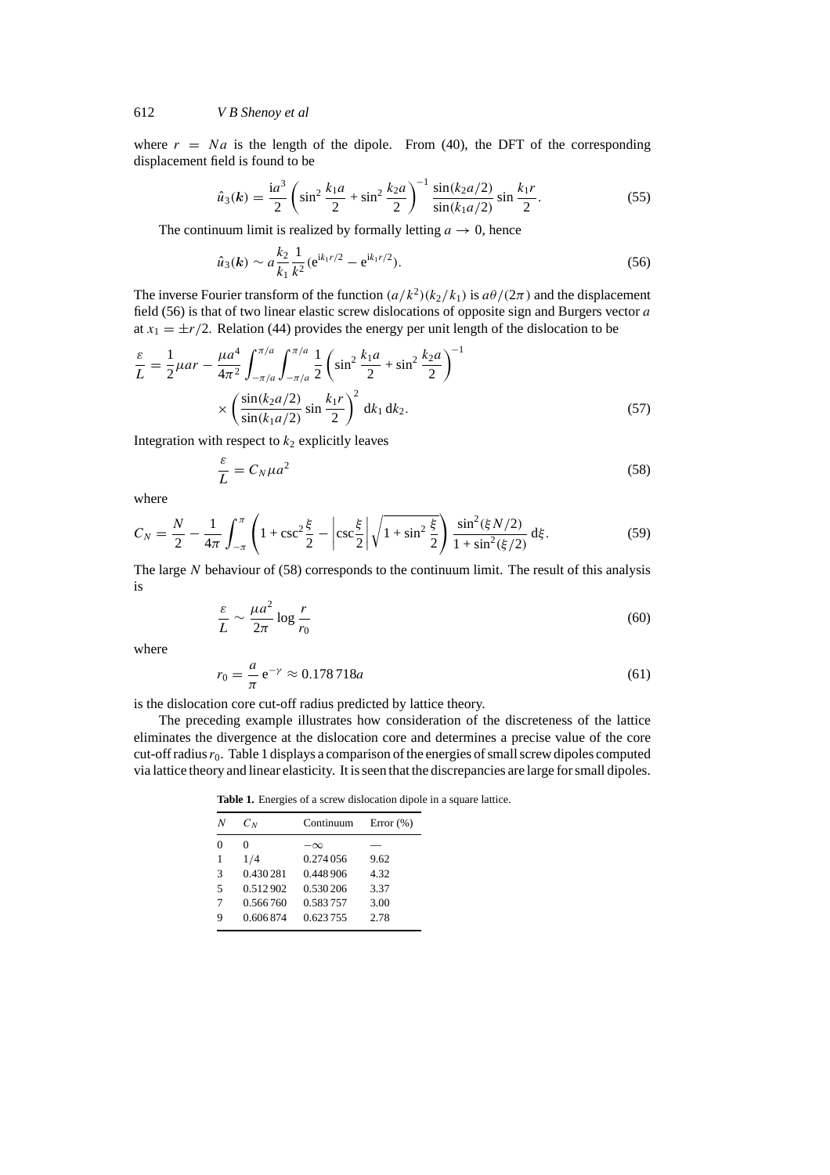where  $r = Na$  is the length of the dipole. From (40), the DFT of the corresponding displacement field is found to be

$$
\hat{u}_3(\mathbf{k}) = \frac{\mathrm{i}a^3}{2} \left( \sin^2 \frac{k_1 a}{2} + \sin^2 \frac{k_2 a}{2} \right)^{-1} \frac{\sin(k_2 a/2)}{\sin(k_1 a/2)} \sin \frac{k_1 r}{2}.
$$
 (55)

The continuum limit is realized by formally letting  $a \to 0$ , hence

$$
\hat{u}_3(\mathbf{k}) \sim a \frac{k_2}{k_1} \frac{1}{k^2} (\mathbf{e}^{\mathbf{i} k_1 r/2} - \mathbf{e}^{\mathbf{i} k_1 r/2}).
$$
\n(56)

The inverse Fourier transform of the function  $(a/k^2)(k_2/k_1)$  is  $a\theta/(2\pi)$  and the displacement field (56) is that of two linear elastic screw dislocations of opposite sign and Burgers vector *a* at  $x_1 = \pm r/2$ . Relation (44) provides the energy per unit length of the dislocation to be

$$
\frac{\varepsilon}{L} = \frac{1}{2}\mu ar - \frac{\mu a^4}{4\pi^2} \int_{-\pi/a}^{\pi/a} \int_{-\pi/a}^{\pi/a} \frac{1}{2} \left( \sin^2 \frac{k_1 a}{2} + \sin^2 \frac{k_2 a}{2} \right)^{-1}
$$

$$
\times \left( \frac{\sin(k_2 a/2)}{\sin(k_1 a/2)} \sin \frac{k_1 r}{2} \right)^2 d k_1 d k_2.
$$
(57)

Integration with respect to  $k_2$  explicitly leaves

$$
\frac{\varepsilon}{L} = C_N \mu a^2 \tag{58}
$$

where

$$
C_N = \frac{N}{2} - \frac{1}{4\pi} \int_{-\pi}^{\pi} \left( 1 + \csc^2 \frac{\xi}{2} - \left| \csc \frac{\xi}{2} \right| \sqrt{1 + \sin^2 \frac{\xi}{2}} \right) \frac{\sin^2(\xi N/2)}{1 + \sin^2(\xi/2)} d\xi.
$$
 (59)

The large *N* behaviour of (58) corresponds to the continuum limit. The result of this analysis is

$$
\frac{\varepsilon}{L} \sim \frac{\mu a^2}{2\pi} \log \frac{r}{r_0} \tag{60}
$$

where

$$
r_0 = \frac{a}{\pi} e^{-\gamma} \approx 0.178718a \tag{61}
$$

is the dislocation core cut-off radius predicted by lattice theory.

The preceding example illustrates how consideration of the discreteness of the lattice eliminates the divergence at the dislocation core and determines a precise value of the core cut-off radius  $r_0$ . Table 1 displays a comparison of the energies of small screw dipoles computed via lattice theory and linear elasticity. It is seen that the discrepancies are large for small dipoles.

**Table 1.** Energies of a screw dislocation dipole in a square lattice.

| N | $C_N$    | Continuum  | Error $(\%)$ |
|---|----------|------------|--------------|
| 0 | 0        | $-\infty$  |              |
| 1 | 1/4      | 0.274 0.56 | 9.62         |
| 3 | 0.430281 | 0.448.906  | 4.32         |
| 5 | 0.512902 | 0.530 206  | 3.37         |
| 7 | 0.566760 | 0.583757   | 3.00         |
| 9 | 0.606874 | 0.623755   | 2.78         |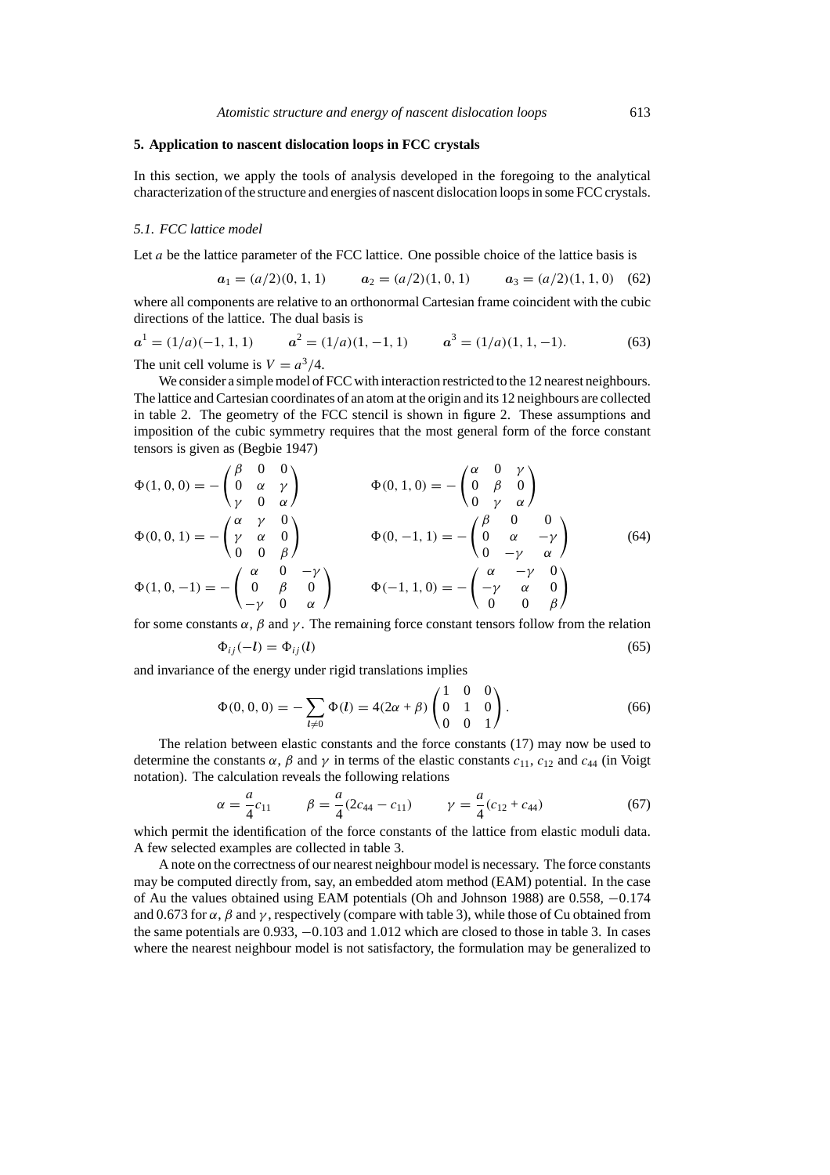## **5. Application to nascent dislocation loops in FCC crystals**

In this section, we apply the tools of analysis developed in the foregoing to the analytical characterization of the structure and energies of nascent dislocation loops in some FCC crystals.

#### *5.1. FCC lattice model*

Let *a* be the lattice parameter of the FCC lattice. One possible choice of the lattice basis is

$$
a_1 = (a/2)(0, 1, 1)
$$
  $a_2 = (a/2)(1, 0, 1)$   $a_3 = (a/2)(1, 1, 0)$  (62)

where all components are relative to an orthonormal Cartesian frame coincident with the cubic directions of the lattice. The dual basis is

$$
a^1 = (1/a)(-1, 1, 1)
$$
  $a^2 = (1/a)(1, -1, 1)$   $a^3 = (1/a)(1, 1, -1).$  (63)  
The unit cell volume is  $V = a^3/4$ .

We consider a simple model of FCC with interaction restricted to the 12 nearest neighbours. The lattice and Cartesian coordinates of an atom at the origin and its 12 neighbours are collected in table 2. The geometry of the FCC stencil is shown in figure 2. These assumptions and imposition of the cubic symmetry requires that the most general form of the force constant tensors is given as (Begbie 1947)

$$
\Phi(1,0,0) = -\begin{pmatrix} \beta & 0 & 0 \\ 0 & \alpha & \gamma \\ \gamma & 0 & \alpha \end{pmatrix} \qquad \Phi(0,1,0) = -\begin{pmatrix} \alpha & 0 & \gamma \\ 0 & \beta & 0 \\ 0 & \gamma & \alpha \end{pmatrix}
$$
  
\n
$$
\Phi(0,0,1) = -\begin{pmatrix} \alpha & \gamma & 0 \\ \gamma & \alpha & 0 \\ 0 & 0 & \beta \end{pmatrix} \qquad \Phi(0,-1,1) = -\begin{pmatrix} \beta & 0 & 0 \\ 0 & \alpha & -\gamma \\ 0 & -\gamma & \alpha \end{pmatrix}
$$
  
\n
$$
\Phi(1,0,-1) = -\begin{pmatrix} \alpha & 0 & -\gamma \\ 0 & \beta & 0 \\ -\gamma & 0 & \alpha \end{pmatrix} \qquad \Phi(-1,1,0) = -\begin{pmatrix} \alpha & -\gamma & 0 \\ -\gamma & \alpha & 0 \\ 0 & 0 & \beta \end{pmatrix}
$$
 (64)

for some constants  $\alpha$ ,  $\beta$  and  $\gamma$ . The remaining force constant tensors follow from the relation  $\Phi_{ij}(-l) = \Phi_{ij}(l)$  (65)

and invariance of the energy under rigid translations implies

$$
\Phi(0,0,0) = -\sum_{l\neq 0} \Phi(l) = 4(2\alpha + \beta) \begin{pmatrix} 1 & 0 & 0 \\ 0 & 1 & 0 \\ 0 & 0 & 1 \end{pmatrix}.
$$
 (66)

The relation between elastic constants and the force constants (17) may now be used to determine the constants  $\alpha$ ,  $\beta$  and  $\gamma$  in terms of the elastic constants  $c_{11}$ ,  $c_{12}$  and  $c_{44}$  (in Voigt notation). The calculation reveals the following relations

$$
\alpha = \frac{a}{4}c_{11} \qquad \beta = \frac{a}{4}(2c_{44} - c_{11}) \qquad \gamma = \frac{a}{4}(c_{12} + c_{44}) \tag{67}
$$

which permit the identification of the force constants of the lattice from elastic moduli data. A few selected examples are collected in table 3.

A note on the correctness of our nearest neighbour model is necessary. The force constants may be computed directly from, say, an embedded atom method (EAM) potential. In the case of Au the values obtained using EAM potentials (Oh and Johnson 1988) are 0.558, −0*.*174 and 0.673 for  $\alpha$ ,  $\beta$  and  $\gamma$ , respectively (compare with table 3), while those of Cu obtained from the same potentials are 0.933, −0*.*103 and 1.012 which are closed to those in table 3. In cases where the nearest neighbour model is not satisfactory, the formulation may be generalized to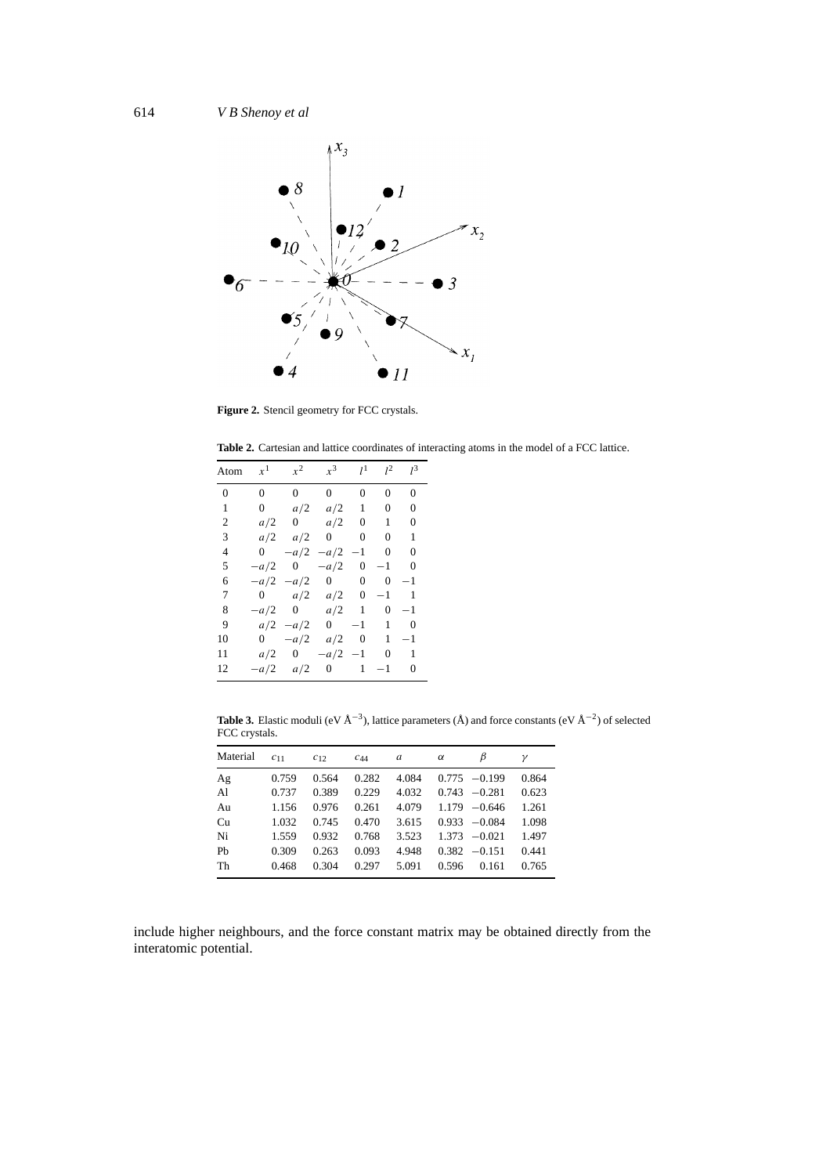

**Figure 2.** Stencil geometry for FCC crystals.

**Table 2.** Cartesian and lattice coordinates of interacting atoms in the model of a FCC lattice.

| Atom           | $x^1$          | $x^2$          | $x^3$          | $l^1$            | $l^2$            | $l^3$          |
|----------------|----------------|----------------|----------------|------------------|------------------|----------------|
| $\overline{0}$ | $\overline{0}$ | $\overline{0}$ | $\overline{0}$ | $\overline{0}$   | $\overline{0}$   | $\overline{0}$ |
| 1              | $\overline{0}$ | a/2            | a/2            | $\mathbf{1}$     | $\boldsymbol{0}$ | 0              |
| 2              | a/2            | $\mathbf{0}$   | a/2            | 0                | 1                | 0              |
| 3              | a/2            | a/2            | $\overline{0}$ | $\overline{0}$   | $\overline{0}$   | 1              |
| 4              | $\overline{0}$ | $-a/2$         | $-a/2$         | $-1$             | $\mathbf{0}$     | 0              |
| 5              | $-a/2$         | $\overline{0}$ | $-a/2$         | $\overline{0}$   | $-1$             | 0              |
| 6              | $-a/2$         | $-a/2$         | $\mathbf{0}$   | $\boldsymbol{0}$ | $\boldsymbol{0}$ | $^{-1}$        |
| 7              | $\overline{0}$ | a/2            | a/2            | $\mathbf{0}$     | $-1$             | 1              |
| 8              | $-a/2$         | 0              | a/2            | $\mathbf{1}$     | 0                | $^{-1}$        |
| 9              | a/2            | $-a/2$         | $\overline{0}$ | $-1$             | 1                | 0              |
| 10             | $\mathbf{0}$   | $-a/2$         | a/2            | $\overline{0}$   | 1                | $^{-1}$        |
| 11             | a/2            | 0              | $-a/2$         | $-1$             | $\mathbf{0}$     | 1              |
| 12             | $-a/2$         | a/2            | 0              | 1                | $-1$             | 0              |

**Table 3.** Elastic moduli (eV Å<sup>−</sup>3), lattice parameters (Å) and force constants (eV Å<sup>−</sup>2) of selected FCC crystals.

| Material | C <sub>11</sub> | $C_{12}$ | $c_{44}$ | a     | $\alpha$ | В               | ν     |
|----------|-----------------|----------|----------|-------|----------|-----------------|-------|
| Ag       | 0.759           | 0.564    | 0.282    | 4.084 |          | $0.775 - 0.199$ | 0.864 |
| Al       | 0.737           | 0.389    | 0.229    | 4.032 |          | $0.743 - 0.281$ | 0.623 |
| Au       | 1.156           | 0.976    | 0.261    | 4.079 |          | $1.179 - 0.646$ | 1.261 |
| Cu       | 1.032           | 0.745    | 0.470    | 3.615 |          | $0.933 - 0.084$ | 1.098 |
| Ni       | 1.559           | 0.932    | 0.768    | 3.523 |          | $1.373 - 0.021$ | 1.497 |
| Pb       | 0.309           | 0.263    | 0.093    | 4.948 |          | $0.382 -0.151$  | 0.441 |
| Th       | 0.468           | 0.304    | 0.297    | 5.091 | 0.596    | 0.161           | 0.765 |

include higher neighbours, and the force constant matrix may be obtained directly from the interatomic potential.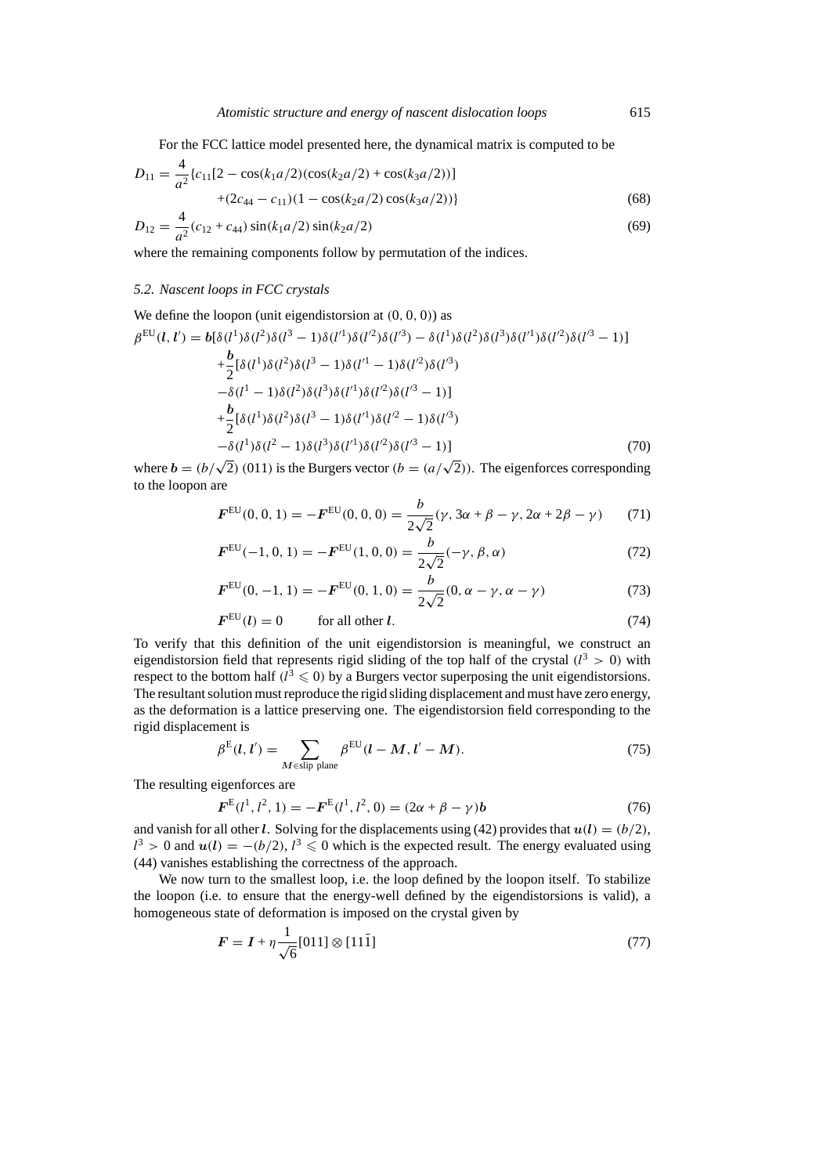For the FCC lattice model presented here, the dynamical matrix is computed to be

$$
D_{11} = \frac{4}{a^2} \{c_{11}[2 - \cos(k_1a/2)(\cos(k_2a/2) + \cos(k_3a/2))]
$$
  
 
$$
+ (2c_{44} - c_{11})(1 - \cos(k_2a/2)\cos(k_3a/2))\}
$$
  
\n
$$
D_{12} = \frac{4}{a^2}(c_{12} + c_{44})\sin(k_1a/2)\sin(k_2a/2)
$$
 (69)

where the remaining components follow by permutation of the indices.

#### *5.2. Nascent loops in FCC crystals*

We define the loopon (unit eigendistorsion at 
$$
(0, 0, 0)
$$
) as  
\n
$$
\beta^{\text{EU}}(l, l') = b[\delta(l^{1})\delta(l^{2})\delta(l^{3} - 1)\delta(l'^{1})\delta(l'^{2})\delta(l'^{3}) - \delta(l^{1})\delta(l^{2})\delta(l'^{3})\delta(l'^{1})\delta(l'^{2})\delta(l'^{3} - 1)]
$$
\n
$$
+ \frac{b}{2}[\delta(l^{1})\delta(l^{2})\delta(l^{3} - 1)\delta(l'^{1} - 1)\delta(l'^{2})\delta(l'^{3})
$$
\n
$$
- \delta(l^{1} - 1)\delta(l^{2})\delta(l^{3})\delta(l'^{1})\delta(l'^{2})\delta(l'^{3} - 1)]
$$
\n
$$
+ \frac{b}{2}[\delta(l^{1})\delta(l^{2})\delta(l^{3} - 1)\delta(l'^{1})\delta(l'^{2} - 1)\delta(l'^{3})
$$
\n
$$
- \delta(l^{1})\delta(l^{2} - 1)\delta(l^{3})\delta(l'^{1})\delta(l'^{2})\delta(l'^{3} - 1)]
$$
\n(70)

where  $b = (b/\sqrt{2}) (011)$  is the Burgers vector  $(b = (a/\sqrt{2}))$ . The eigenforces corresponding to the loopon are

$$
\boldsymbol{F}^{\text{EU}}(0,0,1) = -\boldsymbol{F}^{\text{EU}}(0,0,0) = \frac{b}{2\sqrt{2}}(\gamma, 3\alpha + \beta - \gamma, 2\alpha + 2\beta - \gamma) \tag{71}
$$

$$
\boldsymbol{F}^{\text{EU}}(-1,0,1) = -\boldsymbol{F}^{\text{EU}}(1,0,0) = \frac{b}{2\sqrt{2}}(-\gamma,\beta,\alpha)
$$
\n(72)

$$
F^{\text{EU}}(0, -1, 1) = -F^{\text{EU}}(0, 1, 0) = \frac{b}{2\sqrt{2}}(0, \alpha - \gamma, \alpha - \gamma)
$$
\n(73)

$$
FEU(l) = 0 \tfor all other l. \t(74)
$$

To verify that this definition of the unit eigendistorsion is meaningful, we construct an eigendistorsion field that represents rigid sliding of the top half of the crystal  $(l^3 > 0)$  with respect to the bottom half  $(l^3 \leq 0)$  by a Burgers vector superposing the unit eigendistorsions. The resultant solution must reproduce the rigid sliding displacement and must have zero energy, as the deformation is a lattice preserving one. The eigendistorsion field corresponding to the rigid displacement is

$$
\beta^{\mathcal{E}}(l, l') = \sum_{M \in \text{slip plane}} \beta^{\mathcal{E} \mathcal{U}}(l - M, l' - M). \tag{75}
$$

The resulting eigenforces are

$$
\boldsymbol{F}^{\mathrm{E}}(l^{1}, l^{2}, 1) = -\boldsymbol{F}^{\mathrm{E}}(l^{1}, l^{2}, 0) = (2\alpha + \beta - \gamma)\boldsymbol{b}
$$
\n(76)

and vanish for all other *l*. Solving for the displacements using (42) provides that  $u(l) = (b/2)$ ,  $l^3 > 0$  and  $u(l) = -(b/2), l^3 \leq 0$  which is the expected result. The energy evaluated using (44) vanishes establishing the correctness of the approach.

We now turn to the smallest loop, i.e. the loop defined by the loopon itself. To stabilize the loopon (i.e. to ensure that the energy-well defined by the eigendistorsions is valid), a homogeneous state of deformation is imposed on the crystal given by

$$
F = I + \eta \frac{1}{\sqrt{6}} [011] \otimes [11\bar{1}]
$$
\n(77)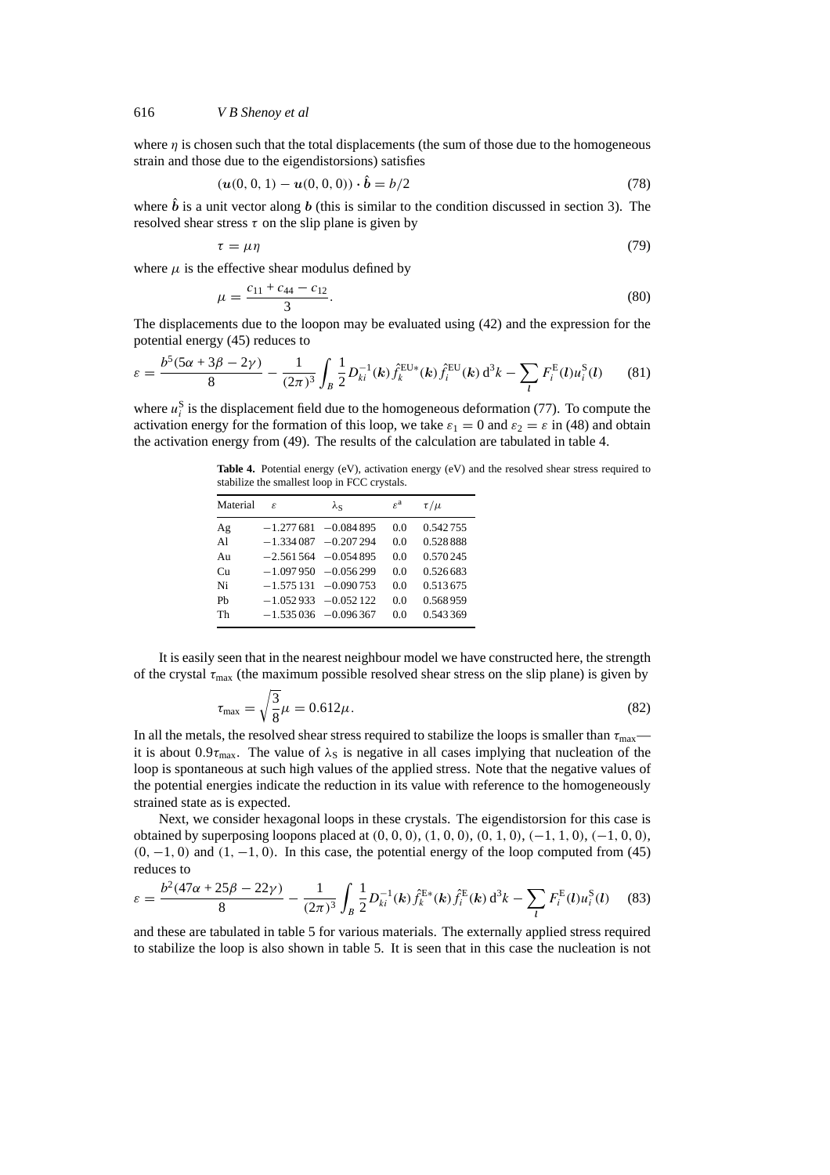where  $\eta$  is chosen such that the total displacements (the sum of those due to the homogeneous strain and those due to the eigendistorsions) satisfies

$$
(\boldsymbol{u}(0,0,1) - \boldsymbol{u}(0,0,0)) \cdot \hat{\boldsymbol{b}} = b/2
$$
\n(78)

where  $\hat{b}$  is a unit vector along *b* (this is similar to the condition discussed in section 3). The resolved shear stress  $\tau$  on the slip plane is given by

$$
\tau = \mu \eta \tag{79}
$$

where  $\mu$  is the effective shear modulus defined by

$$
\mu = \frac{c_{11} + c_{44} - c_{12}}{3}.\tag{80}
$$

The displacements due to the loopon may be evaluated using (42) and the expression for the potential energy (45) reduces to

$$
\varepsilon = \frac{b^5 (5\alpha + 3\beta - 2\gamma)}{8} - \frac{1}{(2\pi)^3} \int_B \frac{1}{2} D_{ki}^{-1}(k) \hat{f}_k^{\text{EU}*}(k) \hat{f}_i^{\text{EU}}(k) d^3k - \sum_l F_i^{\text{E}}(l) u_i^{\text{S}}(l) \tag{81}
$$

where  $u_i^S$  is the displacement field due to the homogeneous deformation (77). To compute the activation energy for the formation of this loop, we take  $\varepsilon_1 = 0$  and  $\varepsilon_2 = \varepsilon$  in (48) and obtain the activation energy from (49). The results of the calculation are tabulated in table 4.

Table 4. Potential energy (eV), activation energy (eV) and the resolved shear stress required to stabilize the smallest loop in FCC crystals.

| Material       | £ | λς                     | $\varepsilon^a$ | $\tau/\mu$ |
|----------------|---|------------------------|-----------------|------------|
| Ag             |   | $-1.277681 - 0.084895$ | 0.0             | 0.542755   |
| A <sub>1</sub> |   | $-1.334087 - 0.207294$ | 0.0             | 0.528888   |
| Au             |   | $-2.561564 - 0.054895$ | 0.0             | 0.570245   |
| Cu             |   | $-1.097950 - 0.056299$ | 0 <sub>0</sub>  | 0.526683   |
| Ni             |   | $-1.575131 - 0.090753$ | 0 <sub>0</sub>  | 0.513675   |
| Ph             |   | $-1.052933 - 0.052122$ | 0.0             | 0.568959   |
| Th             |   | $-1.535036 - 0.096367$ | 0.0             | 0.543369   |

It is easily seen that in the nearest neighbour model we have constructed here, the strength of the crystal *τ*max (the maximum possible resolved shear stress on the slip plane) is given by

$$
\tau_{\text{max}} = \sqrt{\frac{3}{8}}\mu = 0.612\mu. \tag{82}
$$

In all the metals, the resolved shear stress required to stabilize the loops is smaller than  $\tau_{\text{max}}$  it is about  $0.9\tau_{\text{max}}$ . The value of  $\lambda_S$  is negative in all cases implying that nucleation of the loop is spontaneous at such high values of the applied stress. Note that the negative values of the potential energies indicate the reduction in its value with reference to the homogeneously strained state as is expected.

Next, we consider hexagonal loops in these crystals. The eigendistorsion for this case is obtained by superposing loopons placed at  $(0, 0, 0)$ ,  $(1, 0, 0)$ ,  $(0, 1, 0)$ ,  $(-1, 1, 0)$ ,  $(-1, 0, 0)$ , *(*0*,* −1*,* 0*)* and *(*1*,* −1*,* 0*)*. In this case, the potential energy of the loop computed from (45) reduces to

$$
\varepsilon = \frac{b^2 (47\alpha + 25\beta - 22\gamma)}{8} - \frac{1}{(2\pi)^3} \int_B \frac{1}{2} D_{ki}^{-1}(\mathbf{k}) \hat{f}_k^{\text{E*}}(\mathbf{k}) \hat{f}_i^{\text{E}}(\mathbf{k}) d^3 \mathbf{k} - \sum_l F_i^{\text{E}}(l) u_i^{\text{S}}(l) \tag{83}
$$

and these are tabulated in table 5 for various materials. The externally applied stress required to stabilize the loop is also shown in table 5. It is seen that in this case the nucleation is not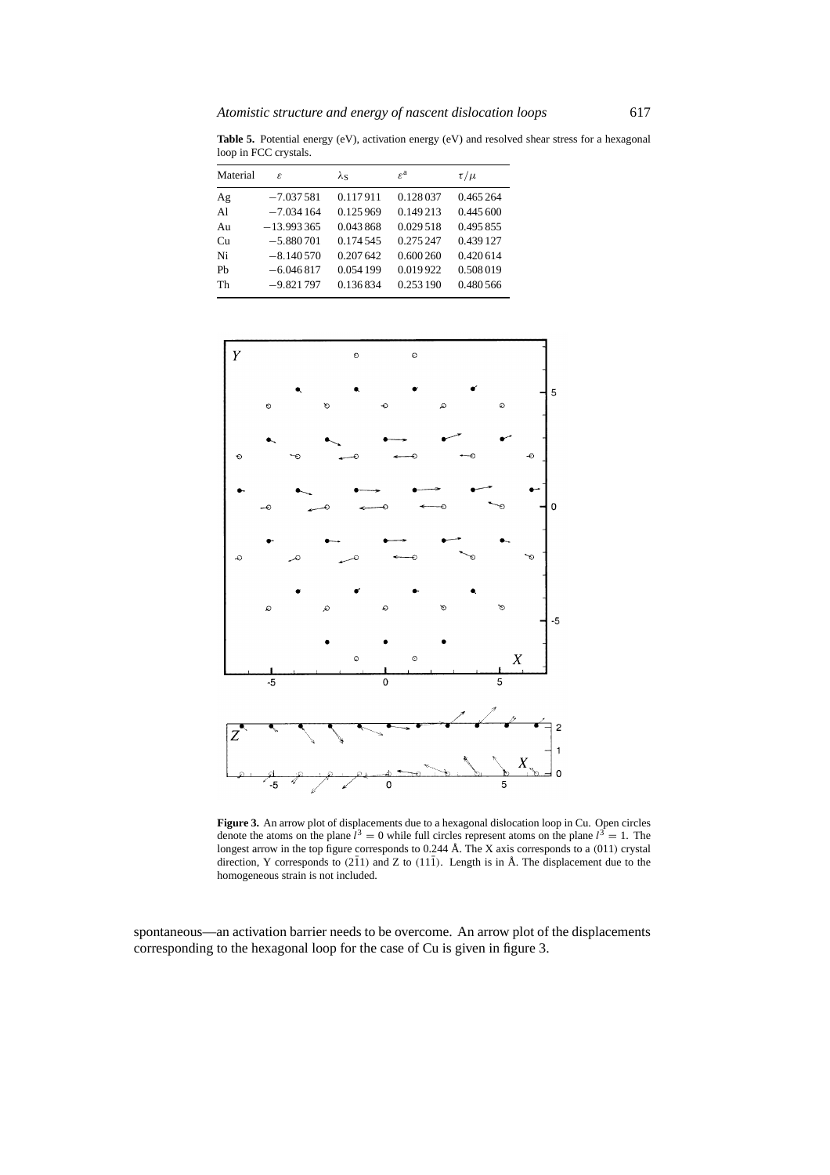Table 5. Potential energy (eV), activation energy (eV) and resolved shear stress for a hexagonal loop in FCC crystals.

| Material | £            | $\lambda_{\rm S}$ | $\varepsilon^a$ | $\tau/\mu$ |
|----------|--------------|-------------------|-----------------|------------|
| Ag       | $-7.037581$  | 0.117911          | 0.128037        | 0.465 264  |
| Al       | $-7.034164$  | 0.125969          | 0.149213        | 0.445600   |
| Au       | $-13.993365$ | 0.043868          | 0.029518        | 0.495 855  |
| Cu       | $-5.880701$  | 0.174.545         | 0.275 247       | 0.439 127  |
| Ni       | $-8.140570$  | 0.207 642         | 0.600260        | 0.420614   |
| Ph       | $-6.046817$  | 0.054 199         | 0.019922        | 0.508019   |
| Th       | $-9.821797$  | 0.136834          | 0.253 190       | 0.480 566  |



**Figure 3.** An arrow plot of displacements due to a hexagonal dislocation loop in Cu. Open circles denote the atoms on the plane  $l^3 = 0$  while full circles represent atoms on the plane  $l^3 = 1$ . The longest arrow in the top figure corresponds to 0.244 Å. The X axis corresponds to a *(*011*)* crystal direction, Y corresponds to  $(2\overline{1}1)$  and Z to  $(11\overline{1})$ . Length is in Å. The displacement due to the homogeneous strain is not included.

spontaneous—an activation barrier needs to be overcome. An arrow plot of the displacements corresponding to the hexagonal loop for the case of Cu is given in figure 3.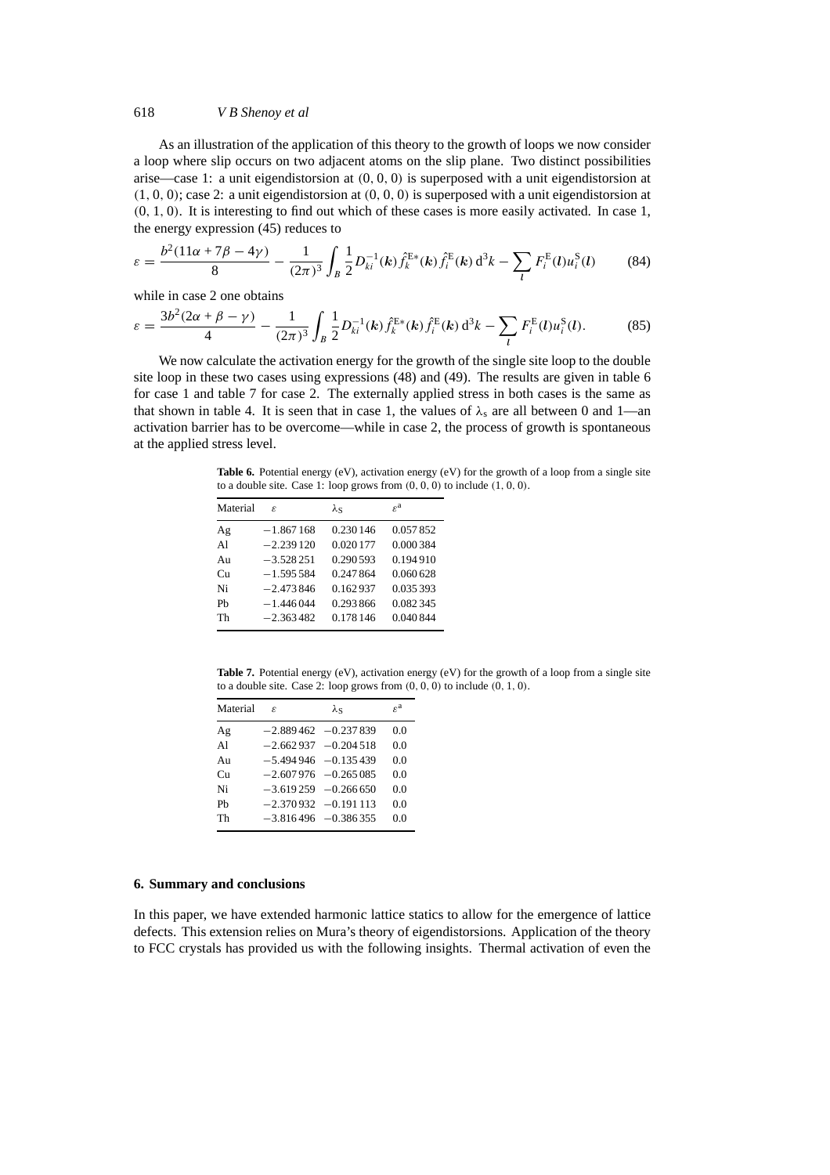As an illustration of the application of this theory to the growth of loops we now consider a loop where slip occurs on two adjacent atoms on the slip plane. Two distinct possibilities arise—case 1: a unit eigendistorsion at *(*0*,* 0*,* 0*)* is superposed with a unit eigendistorsion at *(*1*,* 0*,* 0*)*; case 2: a unit eigendistorsion at *(*0*,* 0*,* 0*)* is superposed with a unit eigendistorsion at *(*0*,* 1*,* 0*)*. It is interesting to find out which of these cases is more easily activated. In case 1, the energy expression (45) reduces to

$$
\varepsilon = \frac{b^2 (11\alpha + 7\beta - 4\gamma)}{8} - \frac{1}{(2\pi)^3} \int_B \frac{1}{2} D_{ki}^{-1}(\mathbf{k}) \hat{f}_k^{\text{E*}}(\mathbf{k}) \hat{f}_i^{\text{E}}(\mathbf{k}) d^3 k - \sum_l F_i^{\text{E}}(l) u_i^{\text{S}}(l) \tag{84}
$$

while in case 2 one obtains

$$
\varepsilon = \frac{3b^2(2\alpha + \beta - \gamma)}{4} - \frac{1}{(2\pi)^3} \int_B \frac{1}{2} D_{ki}^{-1}(k) \hat{f}_k^{E*}(k) \hat{f}_i^{E}(k) d^3k - \sum_l F_i^{E}(l) u_i^{S}(l). \tag{85}
$$

We now calculate the activation energy for the growth of the single site loop to the double site loop in these two cases using expressions (48) and (49). The results are given in table 6 for case 1 and table 7 for case 2. The externally applied stress in both cases is the same as that shown in table 4. It is seen that in case 1, the values of  $\lambda_s$  are all between 0 and 1—an activation barrier has to be overcome—while in case 2, the process of growth is spontaneous at the applied stress level.

**Table 6.** Potential energy (eV), activation energy (eV) for the growth of a loop from a single site to a double site. Case 1: loop grows from *(*0*,* 0*,* 0*)* to include *(*1*,* 0*,* 0*)*.

| Material       | £           | λς        | $\varepsilon^a$ |
|----------------|-------------|-----------|-----------------|
| Ag             | $-1.867168$ | 0.230 146 | 0.057852        |
| A <sub>1</sub> | $-2.239120$ | 0.020 177 | 0.000384        |
| Au             | $-3.528251$ | 0.290.593 | 0.194910        |
| $_{\rm Cu}$    | $-1.595584$ | 0.247864  | 0.060628        |
| Ni             | $-2.473846$ | 0.162937  | 0.035393        |
| Ph             | $-1.446044$ | 0.293866  | 0.082345        |
| Th             | $-2.363482$ | 0.178 146 | 0.040844        |

Table 7. Potential energy (eV), activation energy (eV) for the growth of a loop from a single site to a double site. Case 2: loop grows from *(*0*,* 0*,* 0*)* to include *(*0*,* 1*,* 0*)*.

| Material       | $\mathcal{E}$ | λς                      | $\varepsilon^{\rm a}$ |
|----------------|---------------|-------------------------|-----------------------|
| Ag             |               | $-2.889462 -0.237839$   | 0 <sub>0</sub>        |
| A <sub>1</sub> |               | $-2.662937 -0.204518$   | 0.0                   |
| An             |               | $-5.494946 - 0.135439$  | 0.0                   |
| $_{\rm Cu}$    |               | $-2.607976$ $-0.265085$ | 0 <sub>0</sub>        |
| Ni             |               | $-3.619259 -0.266650$   | 0 <sub>0</sub>        |
| Ph             |               | $-2.370932 -0.191113$   | 0.0                   |
| Th             |               | $-3.816496 - 0.386355$  | 00                    |

#### **6. Summary and conclusions**

In this paper, we have extended harmonic lattice statics to allow for the emergence of lattice defects. This extension relies on Mura's theory of eigendistorsions. Application of the theory to FCC crystals has provided us with the following insights. Thermal activation of even the